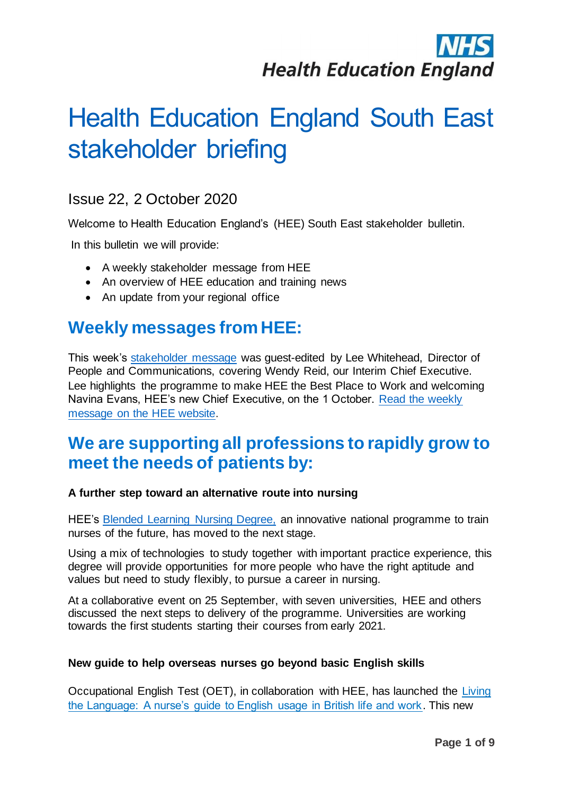# **Health Education England**

## Health Education England South East stakeholder briefing

### Issue 22, 2 October 2020

Welcome to Health Education England's (HEE) South East stakeholder bulletin.

In this bulletin we will provide:

- A weekly stakeholder message from HEE
- An overview of HEE education and training news
- An update from your regional office

## **Weekly messages from HEE:**

This week's [stakeholder message](https://www.hee.nhs.uk/news-blogs-events/blogs/ceo-stakeholder-briefing) was guest-edited by Lee Whitehead, Director of People and Communications, covering Wendy Reid, our Interim Chief Executive. Lee highlights the programme to make HEE the Best Place to Work and welcoming Navina Evans, HEE's new Chief Executive, on the 1 October. [Read the weekly](https://www.hee.nhs.uk/news-blogs-events/blogs/ceo-stakeholder-briefing)  [message on the HEE website.](https://www.hee.nhs.uk/news-blogs-events/blogs/ceo-stakeholder-briefing)

## **We are supporting all professions to rapidly grow to meet the needs of patients by:**

#### **A further step toward an alternative route into nursing**

HEE's [Blended Learning Nursing Degree,](https://www.hee.nhs.uk/our-work/blended-learning/blended-learning-frequently-asked-questions) an innovative national programme to train nurses of the future, has moved to the next stage.

Using a mix of technologies to study together with important practice experience, this degree will provide opportunities for more people who have the right aptitude and values but need to study flexibly, to pursue a career in nursing.

At a collaborative event on 25 September, with seven universities, HEE and others discussed the next steps to delivery of the programme. Universities are working towards the first students starting their courses from early 2021.

#### **New guide to help overseas nurses go beyond basic English skills**

Occupational English Test (OET), in collaboration with HEE, has launched the [Living](https://www.occupationalenglishtest.org/l/living-the-language/)  [the Language: A nurse's guide to English usage in British life and work.](https://www.occupationalenglishtest.org/l/living-the-language/) This new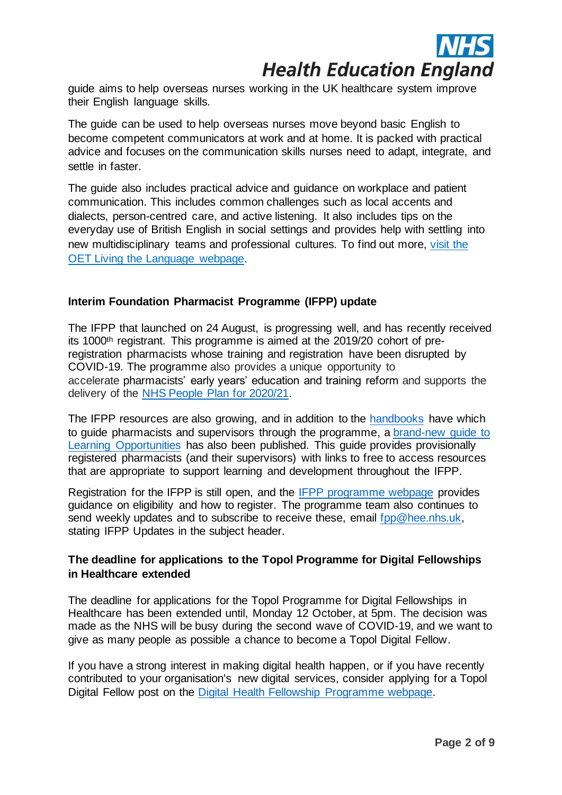

guide aims to help overseas nurses working in the UK healthcare system improve their English language skills.

The guide can be used to help overseas nurses move beyond basic English to become competent communicators at work and at home. It is packed with practical advice and focuses on the communication skills nurses need to adapt, integrate, and settle in faster.

The guide also includes practical advice and guidance on workplace and patient communication. This includes common challenges such as local accents and dialects, person-centred care, and active listening. It also includes tips on the everyday use of British English in social settings and provides help with settling into new multidisciplinary teams and professional cultures. To find out more, [visit the](https://www.occupationalenglishtest.org/l/living-the-language/)  [OET Living the Language webpage.](https://www.occupationalenglishtest.org/l/living-the-language/)

#### **Interim Foundation Pharmacist Programme (IFPP) update**

The IFPP that launched on 24 August, is progressing well, and has recently received its 1000th registrant. This programme is aimed at the 2019/20 cohort of preregistration pharmacists whose training and registration have been disrupted by COVID-19. The programme also provides a unique opportunity to accelerate pharmacists' early years' education and training reform and supports the delivery of the [NHS People Plan for 2020/21.](https://www.england.nhs.uk/publication/we-are-the-nhs-people-plan-for-2020-21-action-for-us-all/)

The IFPP resources are also growing, and in addition to the [handbooks](https://www.hee.nhs.uk/our-work/pharmacy/national-training-offers-pharmacy-professionals/interim-foundation-pharmacist-programme) have which to guide pharmacists and supervisors through the programme, a [brand-new](https://www.hee.nhs.uk/sites/default/files/documents/IFPP%20Learning%20Opportunities%20-%20Mapped%20to%20IFPP%20Learning%20Outcomes%20-%20Sept%202020_1.pdf) guide to [Learning Opportunities](https://www.hee.nhs.uk/sites/default/files/documents/IFPP%20Learning%20Opportunities%20-%20Mapped%20to%20IFPP%20Learning%20Outcomes%20-%20Sept%202020_1.pdf) has also been published. This guide provides provisionally registered pharmacists (and their supervisors) with links to free to access resources that are appropriate to support learning and development throughout the IFPP.

Registration for the IFPP is still open, and the [IFPP programme webpage](https://www.hee.nhs.uk/our-work/pharmacy/national-training-offers-pharmacy-professionals/interim-foundation-pharmacist-programme) provides guidance on eligibility and how to register. The programme team also continues to send weekly updates and to subscribe to receive these, email fpp@hee.nhs.uk, stating IFPP Updates in the subject header.

#### **The deadline for applications to the Topol Programme for Digital Fellowships in Healthcare extended**

The deadline for applications for the Topol Programme for Digital Fellowships in Healthcare has been extended until, Monday 12 October, at 5pm. The decision was made as the NHS will be busy during the second wave of COVID-19, and we want to give as many people as possible a chance to become a Topol Digital Fellow.

If you have a strong interest in making digital health happen, or if you have recently contributed to your organisation's new digital services, consider applying for a Topol Digital Fellow post on the Digital Health [Fellowship Programme webpage.](https://topol.hee.nhs.uk/digital-fellowships/)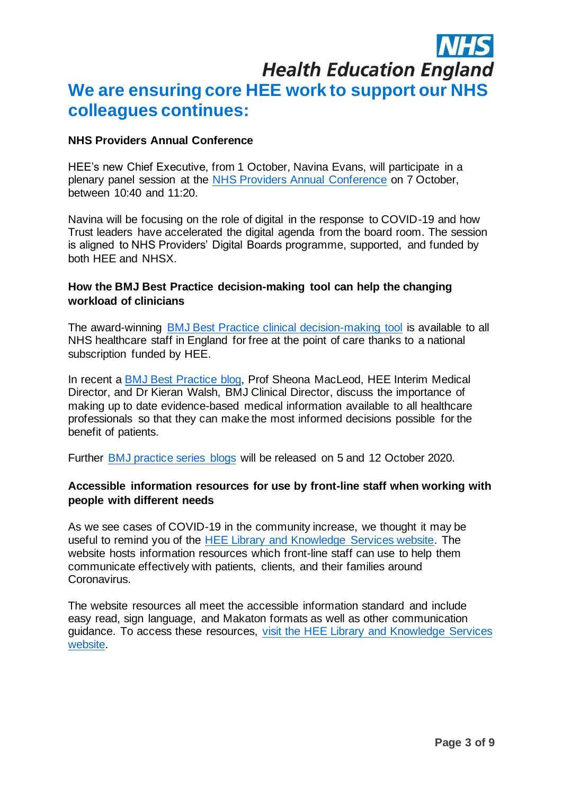## **Health Education England**

## **We are ensuring core HEE work to support our NHS colleagues continues:**

#### **NHS Providers Annual Conference**

HEE's new Chief Executive, from 1 October, Navina Evans, will participate in a plenary panel session at the [NHS Providers Annual Conference](https://nhsproviders.org/annualevents) on 7 October, between 10:40 and 11:20.

Navina will be focusing on the role of digital in the response to COVID-19 and how Trust leaders have accelerated the digital agenda from the board room. The session is aligned to NHS Providers' Digital Boards programme, supported, and funded by both HEE and NHSX.

#### **How the BMJ Best Practice decision-making tool can help the changing workload of clinicians**

The award-winning [BMJ Best Practice clinical decision-making tool](https://www.bmj.com/company/hee/) is available to all NHS healthcare staff in England for free at the point of care thanks to a national subscription funded by HEE.

In recent a [BMJ Best Practice blog,](https://bestpractice.bmj.com/info/clinical-decision-support-for-better-quality-care) Prof Sheona MacLeod, HEE Interim Medical Director, and Dr Kieran Walsh, BMJ Clinical Director, discuss the importance of making up to date evidence-based medical information available to all healthcare professionals so that they can make the most informed decisions possible for the benefit of patients.

Further [BMJ practice series blogs](https://bestpractice.bmj.com/info/clinical-decision-support-for-better-quality-care) will be released on 5 and 12 October 2020.

#### **Accessible information resources for use by front-line staff when working with people with different needs**

As we see cases of COVID-19 in the community increase, we thought it may be useful to remind you of the [HEE Library and Knowledge Services website.](https://library.nhs.uk/) The website hosts information resources which front-line staff can use to help them communicate effectively with patients, clients, and their families around Coronavirus.

The website resources all meet the accessible information standard and include easy read, sign language, and Makaton formats as well as other communication guidance. To access these resources, [visit the HEE Library and Knowledge Services](https://library.nhs.uk/)  [website.](https://library.nhs.uk/)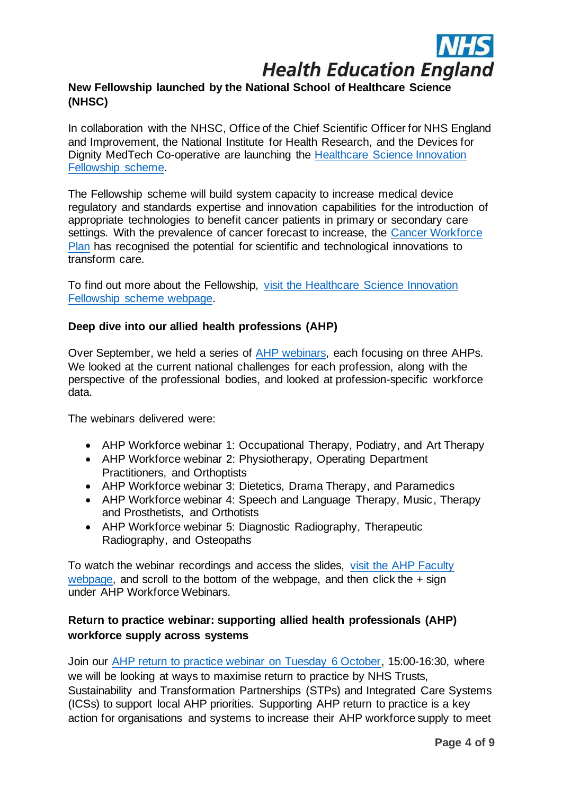

#### **New Fellowship launched by the National School of Healthcare Science (NHSC)**

In collaboration with the NHSC, Office of the Chief Scientific Officer for NHS England and Improvement, the National Institute for Health Research, and the Devices for Dignity MedTech Co-operative are launching the [Healthcare Science Innovation](https://nshcs.hee.nhs.uk/programmes/healthcare-science-innovation-fellowships/)  [Fellowship scheme.](https://nshcs.hee.nhs.uk/programmes/healthcare-science-innovation-fellowships/)

The Fellowship scheme will build system capacity to increase medical device regulatory and standards expertise and innovation capabilities for the introduction of appropriate technologies to benefit cancer patients in primary or secondary care settings. With the prevalence of cancer forecast to increase, the [Cancer Workforce](https://www.hee.nhs.uk/our-work/cancer-workforce-plan)  [Plan](https://www.hee.nhs.uk/our-work/cancer-workforce-plan) has recognised the potential for scientific and technological innovations to transform care.

To find out more about the Fellowship, [visit the Healthcare Science Innovation](https://nshcs.hee.nhs.uk/programmes/healthcare-science-innovation-fellowships/)  [Fellowship scheme webpage.](https://nshcs.hee.nhs.uk/programmes/healthcare-science-innovation-fellowships/)

#### **Deep dive into our allied health professions (AHP)**

Over September, we held a series of [AHP webinars,](https://www.hee.nhs.uk/our-work/allied-health-professions/helping-ensure-essential-supply-ahps/ahp-faculties) each focusing on three AHPs. We looked at the current national challenges for each profession, along with the perspective of the professional bodies, and looked at profession-specific workforce data.

The webinars delivered were:

- AHP Workforce webinar 1: Occupational Therapy, Podiatry, and Art Therapy
- AHP Workforce webinar 2: Physiotherapy, Operating Department Practitioners, and Orthoptists
- AHP Workforce webinar 3: Dietetics, Drama Therapy, and Paramedics
- AHP Workforce webinar 4: Speech and Language Therapy, Music, Therapy and Prosthetists, and Orthotists
- AHP Workforce webinar 5: Diagnostic Radiography, Therapeutic Radiography, and Osteopaths

To watch the webinar recordings and access the slides, visit the [AHP Faculty](https://www.hee.nhs.uk/our-work/allied-health-professions/helping-ensure-essential-supply-ahps/ahp-faculties)  [webpage,](https://www.hee.nhs.uk/our-work/allied-health-professions/helping-ensure-essential-supply-ahps/ahp-faculties) and scroll to the bottom of the webpage, and then click the  $+$  sign under AHP Workforce Webinars.

#### **[Return to practice webinar: supporting allied health professionals \(AHP\)](https://teams.microsoft.com/l/meetup-join/19%3ameeting_NGRhNTU2YmUtMWQ5My00OGQyLWIwMjQtMjZhOWMwZWU3ZmZl%40thread.v2/0?context=%7b%22Tid%22%3a%22ffa7912b-b097-4131-9c0f-d0e80755b2ab%22%2c%22Oid%22%3a%224390cd43-72b6-4b6d-9b06-9200d6ff8d5e%22%2c%22IsBroadcastMeeting%22%3atrue%7d)  [workforce supply across systems](https://teams.microsoft.com/l/meetup-join/19%3ameeting_NGRhNTU2YmUtMWQ5My00OGQyLWIwMjQtMjZhOWMwZWU3ZmZl%40thread.v2/0?context=%7b%22Tid%22%3a%22ffa7912b-b097-4131-9c0f-d0e80755b2ab%22%2c%22Oid%22%3a%224390cd43-72b6-4b6d-9b06-9200d6ff8d5e%22%2c%22IsBroadcastMeeting%22%3atrue%7d)**

Join our [AHP return to practice webinar on Tuesday 6 October,](https://www.hee.nhs.uk/our-work/return-practice-allied-health-professionals-healthcare-scientists) 15:00-16:30, where we will be looking at ways to maximise return to practice by NHS Trusts, Sustainability and Transformation Partnerships (STPs) and Integrated Care Systems (ICSs) to support local AHP priorities. Supporting AHP return to practice is a key action for organisations and systems to increase their AHP workforce supply to meet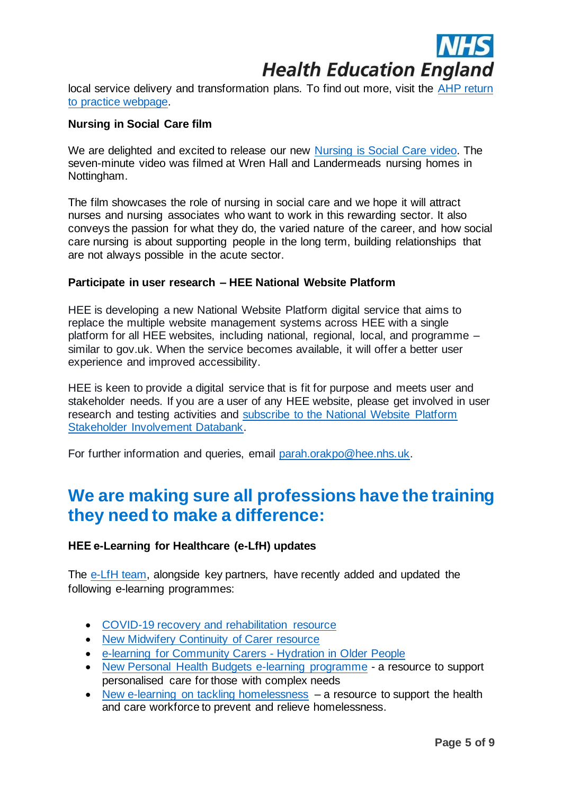

local service delivery and transformation plans. To find out more, visit the [AHP return](https://www.hee.nhs.uk/our-work/return-practice-allied-health-professionals-healthcare-scientists)  [to practice webpage.](https://www.hee.nhs.uk/our-work/return-practice-allied-health-professionals-healthcare-scientists) 

#### **Nursing in Social Care film**

We are delighted and excited to release our new [Nursing is Social Care video.](https://www.hee.nhs.uk/our-work/nursing-social-care-0) The seven-minute video was filmed at Wren Hall and Landermeads nursing homes in Nottingham.

The film showcases the role of nursing in social care and we hope it will attract nurses and nursing associates who want to work in this rewarding sector. It also conveys the passion for what they do, the varied nature of the career, and how social care nursing is about supporting people in the long term, building relationships that are not always possible in the acute sector.

#### **Participate in user research – HEE National Website Platform**

HEE is developing a new National Website Platform digital service that aims to replace the multiple website management systems across HEE with a single platform for all HEE websites, including national, regional, local, and programme *–* similar to gov.uk. When the service becomes available, it will offer a better user experience and improved accessibility.

HEE is keen to provide a digital service that is fit for purpose and meets user and stakeholder needs. If you are a user of any HEE website, please get involved in user research and testing activities and subscribe to the [National Website Platform](https://forms.office.com/Pages/ResponsePage.aspx?id=K5Gn_5ewMUGcD9DoB1Wyq62_imvDlFpPhawBoObID1NUOVhXS05EUU5aQUo5SEJMVjFZSjdWRTI3MCQlQCN0PWcu)  [Stakeholder Involvement Databank.](https://forms.office.com/Pages/ResponsePage.aspx?id=K5Gn_5ewMUGcD9DoB1Wyq62_imvDlFpPhawBoObID1NUOVhXS05EUU5aQUo5SEJMVjFZSjdWRTI3MCQlQCN0PWcu)

For further information and queries, email [parah.orakpo@hee.nhs.uk.](mailto:email parah.orakpo@hee.nhs.uk)

## **We are making sure all professions have the training they need to make a difference:**

#### **HEE e-Learning for Healthcare (e-LfH) updates**

The [e-LfH](https://www.e-lfh.org.uk/) team, alongside key partners, have recently added and updated the following e-learning programmes:

- [COVID-19 recovery and rehabilitation resource](https://www.e-lfh.org.uk/programmes/covid-19-recovery-and-rehabilitation/)
- [New Midwifery Continuity of Carer resource](https://www.e-lfh.org.uk/programmes/midwifery-continuity-of-carer/)
- [e-learning for Community Carers -](https://www.e-lfh.org.uk/programmes/hydration-in-older-people/) Hydration in Older People
- [New Personal Health Budgets e-learning programme](https://www.e-lfh.org.uk/programmes/personal-health-budgets/) a resource to support personalised care for those with complex needs
- [New e-learning on tackling homelessness](https://www.e-lfh.org.uk/programmes/tackling-homelessness/) a resource to support the health and care workforce to prevent and relieve homelessness.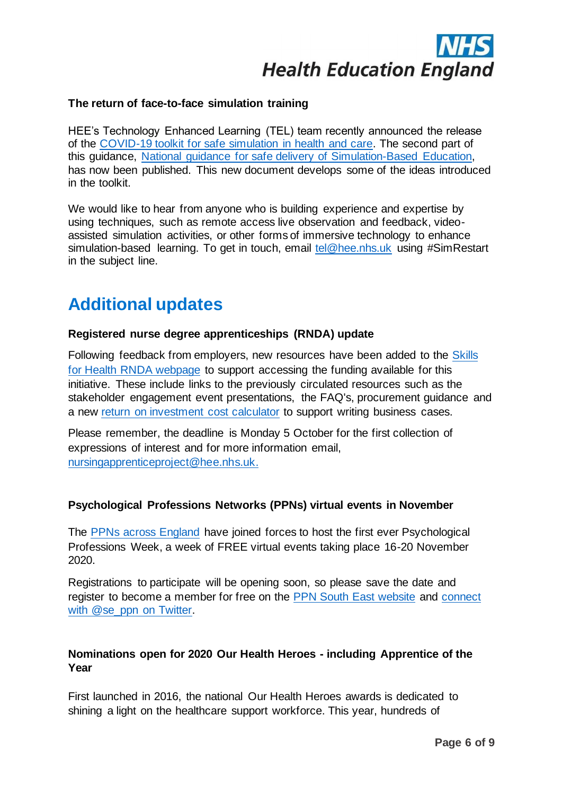# **Health Education England**

#### **The return of face-to-face simulation training**

HEE's Technology Enhanced Learning (TEL) team recently announced the release of the [COVID-19 toolkit for safe simulation in health and care.](https://www.hee.nhs.uk/sites/default/files/documents/COVID-19%20toolkit%20for%20safe%20simulation.pdf) The second part of this guidance, [National guidance for safe delivery of Simulation-Based Education,](https://www.hee.nhs.uk/sites/default/files/documents/National%20framework%20for%20simulation%20based%20education.pdf) has now been published. This new document develops some of the ideas introduced in the toolkit.

We would like to hear from anyone who is building experience and expertise by using techniques, such as remote access live observation and feedback, videoassisted simulation activities, or other forms of immersive technology to enhance simulation-based learning. To get in touch, email [tel@hee.nhs.uk](mailto:tel@hee.nhs.uk) using #SimRestart in the subject line.

## **Additional updates**

#### **Registered nurse degree apprenticeships (RNDA) update**

Following feedback from employers, new resources have been added to the Skills for Health [RNDA webpage](https://haso.skillsforhealth.org.uk/news/registered-nurse-degree-apprenticeship-resources/) to support accessing the funding available for this initiative. These include links to the previously circulated resources such as the stakeholder engagement event presentations, the FAQ's, procurement guidance and a new [return on investment cost calculator](https://www.rndacost.com/) to support writing business cases.

Please remember, the deadline is Monday 5 October for the first collection of expressions of interest and for more information email, [nursingapprenticeproject@hee.nhs.uk.](mailto:nursingapprenticeproject@hee.nhs.uk)

#### **Psychological Professions Networks (PPNs) virtual events in November**

The [PPNs across England](https://www.ppn.nhs.uk/) have joined forces to host the first ever Psychological Professions Week, a week of FREE virtual events taking place 16-20 November 2020.

Registrations to participate will be opening soon, so please save the date and register to become a member for free on the [PPN South East website](https://kss-ppn.nhs.uk/) and [connect](https://twitter.com/se_ppn)  [with @se\\_ppn on Twitter.](https://twitter.com/se_ppn)

#### **Nominations open for 2020 Our Health Heroes - including Apprentice of the Year**

First launched in 2016, the national Our Health Heroes awards is dedicated to shining a light on the healthcare support workforce. This year, hundreds of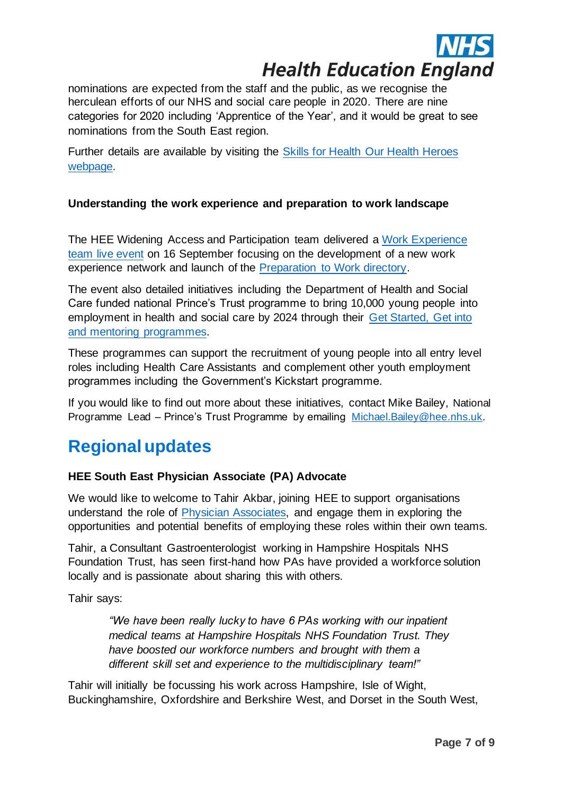

nominations are expected from the staff and the public, as we recognise the herculean efforts of our NHS and social care people in 2020. There are nine categories for 2020 including 'Apprentice of the Year', and it would be great to see nominations from the South East region.

Further details are available by visiting the [Skills for Health Our Health Heroes](https://www.skillsforhealth.org.uk/ohh-2021)  [webpage.](https://www.skillsforhealth.org.uk/ohh-2021)

#### **Understanding the work experience and preparation to work landscape**

The HEE Widening Access and Participation team delivered a [Work Experience](https://healtheducationengland.sharepoint.com/:f:/s/StakeholderRepository-KSS/EoYkkiXOy8VKhFKDUeVbw1gB6C4LZAlbm2FgN6jgdKamsQ?e=9I2k6J)  [team live event](https://healtheducationengland.sharepoint.com/:f:/s/StakeholderRepository-KSS/EoYkkiXOy8VKhFKDUeVbw1gB6C4LZAlbm2FgN6jgdKamsQ?e=9I2k6J) on 16 September focusing on the development of a new work experience network and launch of the [Preparation to Work directory.](https://healtheducationengland.sharepoint.com/:w:/s/StakeholderRepository-KSS/EU-eOU8vBPNJhDHOM0qZj3UBUqRd1FIZRRuYuog-AoWJOQ?e=tg3iQ8)

The event also detailed initiatives including the Department of Health and Social Care funded national Prince's Trust programme to bring 10,000 young people into employment in health and social care by 2024 through their [Get Started, Get into](https://healtheducationengland.sharepoint.com/:b:/s/StakeholderRepository-KSS/EVmXtfGkTTlMgn6H9Vt89B0Bvoon6TJJdlhaBhGJ2yJxjA?e=uhpNcT)  [and mentoring programmes.](https://healtheducationengland.sharepoint.com/:b:/s/StakeholderRepository-KSS/EVmXtfGkTTlMgn6H9Vt89B0Bvoon6TJJdlhaBhGJ2yJxjA?e=uhpNcT)

These programmes can support the recruitment of young people into all entry level roles including Health Care Assistants and complement other youth employment programmes including the Government's Kickstart programme.

If you would like to find out more about these initiatives, contact Mike Bailey, National Programme Lead – Prince's Trust Programme by emailing [Michael.Bailey@hee.nhs.uk.](mailto:Michael.Bailey@hee.nhs.uk)

### **Regional updates**

#### **HEE South East Physician Associate (PA) Advocate**

We would like to welcome to Tahir Akbar, joining HEE to support organisations understand the role of [Physician Associates,](https://www.healthcareers.nhs.uk/explore-roles/medical-associate-professions/roles-medical-associate-professions/physician-associate) and engage them in exploring the opportunities and potential benefits of employing these roles within their own teams.

Tahir, a Consultant Gastroenterologist working in Hampshire Hospitals NHS Foundation Trust, has seen first-hand how PAs have provided a workforce solution locally and is passionate about sharing this with others.

Tahir says:

*"We have been really lucky to have 6 PAs working with our inpatient medical teams at Hampshire Hospitals NHS Foundation Trust. They have boosted our workforce numbers and brought with them a different skill set and experience to the multidisciplinary team!"* 

Tahir will initially be focussing his work across Hampshire, Isle of Wight, Buckinghamshire, Oxfordshire and Berkshire West, and Dorset in the South West,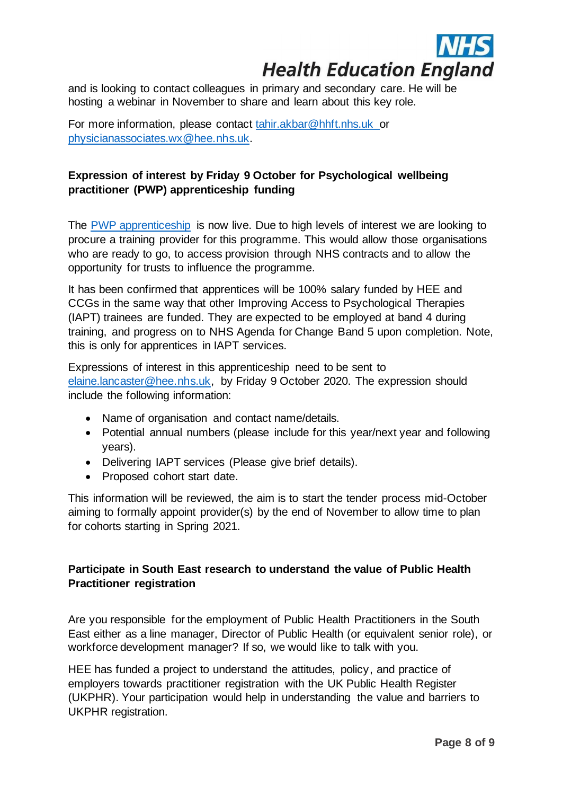

and is looking to contact colleagues in primary and secondary care. He will be hosting a webinar in November to share and learn about this key role.

For more information, please contact [tahir.akbar@hhft.nhs.uk](mailto:tahir.akbar@hhft.nhs.uk) or [physicianassociates.wx@hee.nhs.uk.](mailto:physicianassociates.wx@hee.nhs.uk)

#### **Expression of interest by Friday 9 October for Psychological wellbeing practitioner (PWP) apprenticeship funding**

The [PWP apprenticeship](https://www.instituteforapprenticeships.org/apprenticeship-standards/psychological-wellbeing-practitioner/) is now live. Due to high levels of interest we are looking to procure a training provider for this programme. This would allow those organisations who are ready to go, to access provision through NHS contracts and to allow the opportunity for trusts to influence the programme.

It has been confirmed that apprentices will be 100% salary funded by HEE and CCGs in the same way that other Improving Access to Psychological Therapies (IAPT) trainees are funded. They are expected to be employed at band 4 during training, and progress on to NHS Agenda for Change Band 5 upon completion. Note, this is only for apprentices in IAPT services.

Expressions of interest in this apprenticeship need to be sent to [elaine.lancaster@hee.nhs.uk,](mailto:elaine.lancaster@hee.nhs.uk) by Friday 9 October 2020. The expression should include the following information:

- Name of organisation and contact name/details.
- Potential annual numbers (please include for this year/next year and following years).
- Delivering IAPT services (Please give brief details).
- Proposed cohort start date.

This information will be reviewed, the aim is to start the tender process mid-October aiming to formally appoint provider(s) by the end of November to allow time to plan for cohorts starting in Spring 2021.

#### **Participate in South East research to understand the value of Public Health Practitioner registration**

Are you responsible for the employment of Public Health Practitioners in the South East either as a line manager, Director of Public Health (or equivalent senior role), or workforce development manager? If so, we would like to talk with you.

HEE has funded a project to understand the attitudes, policy, and practice of employers towards practitioner registration with the UK Public Health Register (UKPHR). Your participation would help in understanding the value and barriers to UKPHR registration.